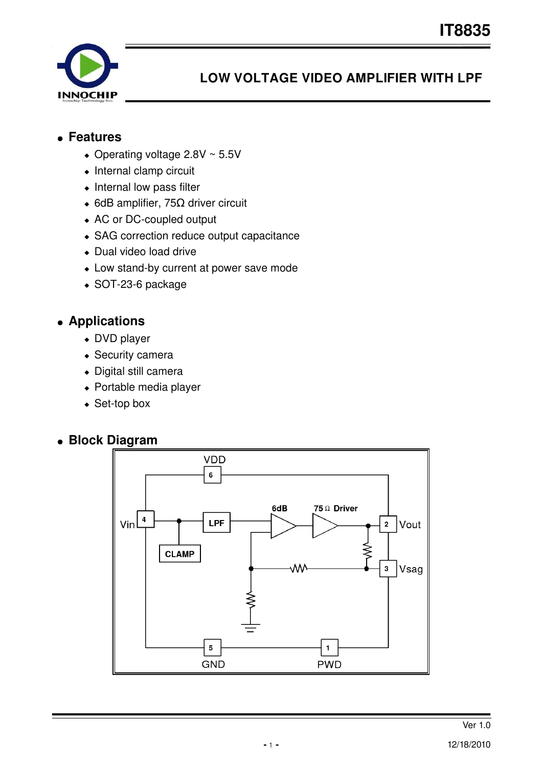

# **LOW VOLTAGE VIDEO AMPLIFIER WITH LPF**

#### ● **Features**

- $\bullet$  Operating voltage 2.8V ~ 5.5V
- $\bullet$  Internal clamp circuit
- $\bullet$  Internal low pass filter
- 6dB amplifier, 75Ω driver circuit
- AC or DC-coupled output
- SAG correction reduce output capacitance
- Dual video load drive
- Low stand-by current at power save mode
- $\bullet$  SOT-23-6 package

### ● **Applications**

- DVD player
- Security camera
- Digital still camera
- Portable media player
- $\triangleleft$  Set-top box

#### ● **Block Diagram**

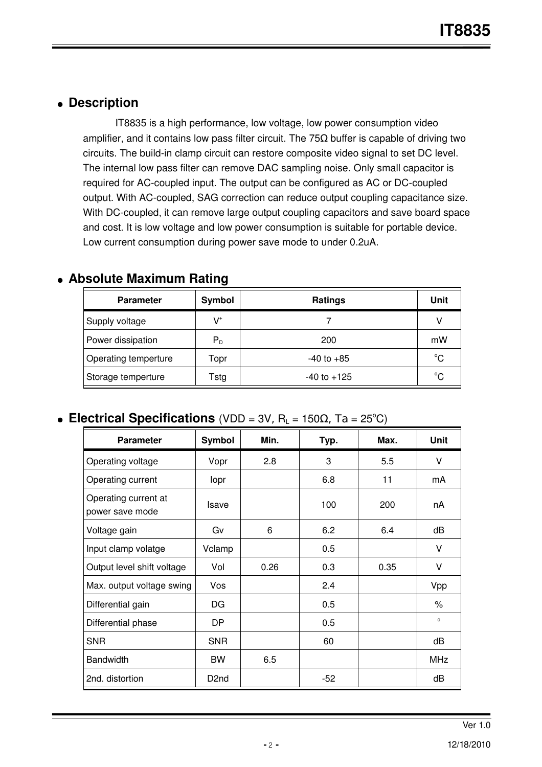#### ● **Description**

IT8835 is a high performance, low voltage, low power consumption video amplifier, and it contains low pass filter circuit. The  $75\Omega$  buffer is capable of driving two circuits. The build-in clamp circuit can restore composite video signal to set DC level. The internal low pass filter can remove DAC sampling noise. Only small capacitor is required for AC-coupled input. The output can be configured as AC or DC-coupled output. With AC-coupled, SAG correction can reduce output coupling capacitance size. With DC-coupled, it can remove large output coupling capacitors and save board space and cost. It is low voltage and low power consumption is suitable for portable device. Low current consumption during power save mode to under 0.2uA.

| <b>Parameter</b>     | Symbol                  | <b>Ratings</b>  | Unit |
|----------------------|-------------------------|-----------------|------|
| Supply voltage       | $\mathsf{V}^*$          |                 | V    |
| Power dissipation    | $\mathsf{P}_\mathsf{D}$ | 200             | mW   |
| Operating temperture | Topr                    | $-40$ to $+85$  | °C   |
| Storage temperture   | Tstg                    | $-40$ to $+125$ | °C   |

### ● **Absolute Maximum Rating**

#### • Electrical Specifications (VDD =  $3V$ , R<sub>L</sub> =  $150\Omega$ , Ta =  $25^{\circ}$ C)

| <b>Parameter</b>                        | <b>Symbol</b>     | Min. | Typ.  | Max. | <b>Unit</b>    |
|-----------------------------------------|-------------------|------|-------|------|----------------|
| Operating voltage                       | Vopr              | 2.8  | 3     | 5.5  | V              |
| Operating current                       | lopr              |      | 6.8   | 11   | mA             |
| Operating current at<br>power save mode | Isave             |      | 100   | 200  | nA             |
| Voltage gain                            | Gv                | 6    | 6.2   | 6.4  | dB             |
| Input clamp volatge                     | Vclamp            |      | 0.5   |      | V              |
| Output level shift voltage              | Vol               | 0.26 | 0.3   | 0.35 | V              |
| Max. output voltage swing<br>Vos        |                   |      | 2.4   |      | Vpp            |
| Differential gain                       | DG                |      | 0.5   |      | %              |
| Differential phase                      | <b>DP</b>         |      | 0.5   |      | $\mathsf{o}\,$ |
| <b>SNR</b>                              | <b>SNR</b>        |      | 60    |      | dB             |
| <b>Bandwidth</b>                        | <b>BW</b>         | 6.5  |       |      | <b>MHz</b>     |
| 2nd. distortion                         | D <sub>2</sub> nd |      | $-52$ |      | dB             |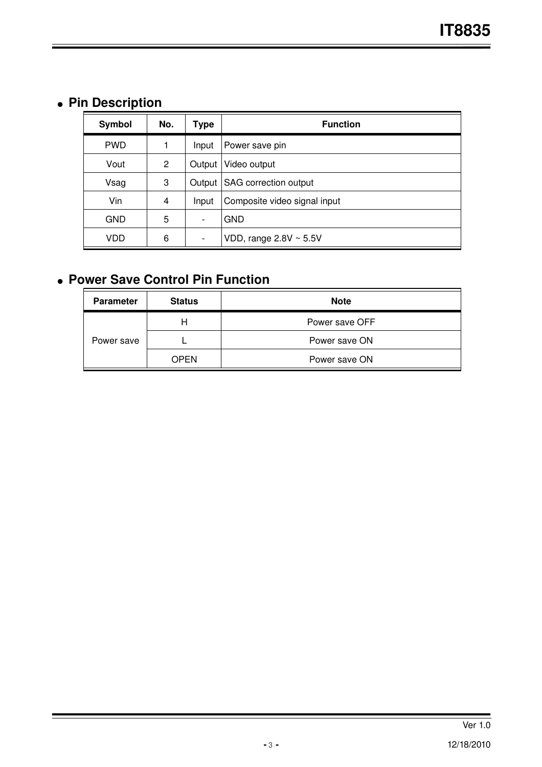# ● **Pin Description**

| Symbol     | No.            | Type   | <b>Function</b>              |
|------------|----------------|--------|------------------------------|
| <b>PWD</b> | 1              | Input  | Power save pin               |
| Vout       | $\overline{2}$ | Output | Video output                 |
| Vsag       | 3              | Output | SAG correction output        |
| Vin        | 4              | Input  | Composite video signal input |
| <b>GND</b> | 5              |        | <b>GND</b>                   |
| VDD        | 6              |        | VDD, range $2.8V \sim 5.5V$  |

# ● **Power Save Control Pin Function**

| <b>Parameter</b> | <b>Status</b> | <b>Note</b>    |
|------------------|---------------|----------------|
| Power save       |               | Power save OFF |
|                  |               | Power save ON  |
|                  | <b>OPEN</b>   | Power save ON  |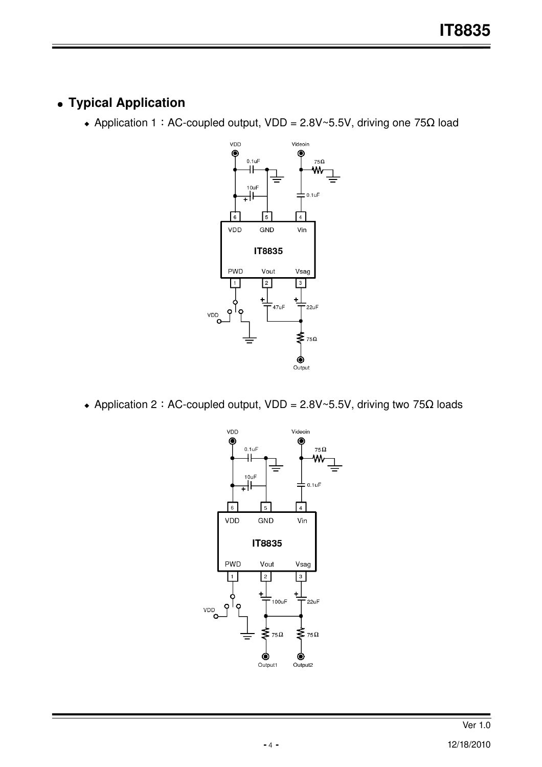## ● **Typical Application**

+ Application 1: AC-coupled output, VDD = 2.8V~5.5V, driving one 75Ω load



• Application 2: AC-coupled output, VDD = 2.8V~5.5V, driving two 75 $\Omega$  loads

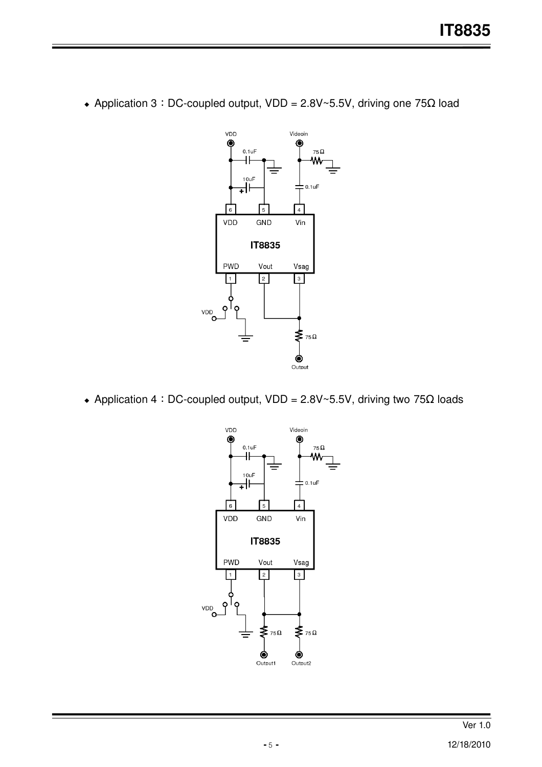

• Application 3: DC-coupled output, VDD = 2.8V~5.5V, driving one 75 $\Omega$  load

+ Application 4: DC-coupled output, VDD = 2.8V~5.5V, driving two 75Ω loads

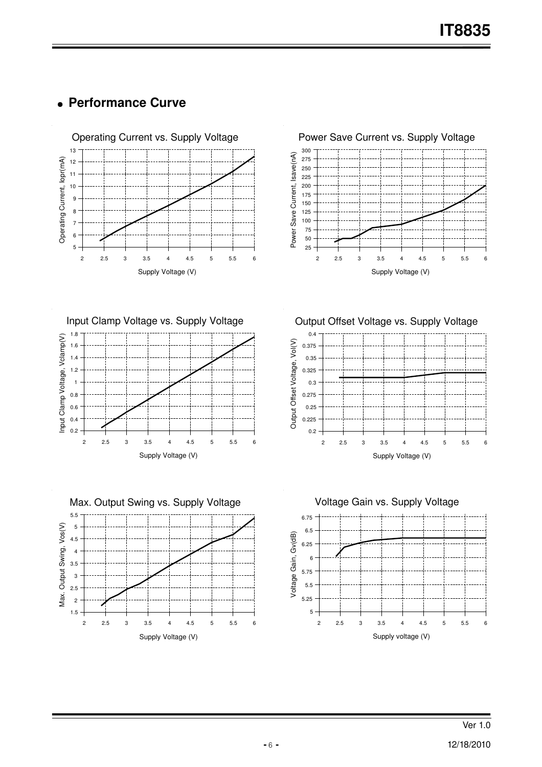### ● **Performance Curve**





1.8 Input Clamp Voltage vs. Supply Voltage





Output Offset Voltage vs. Supply Voltage



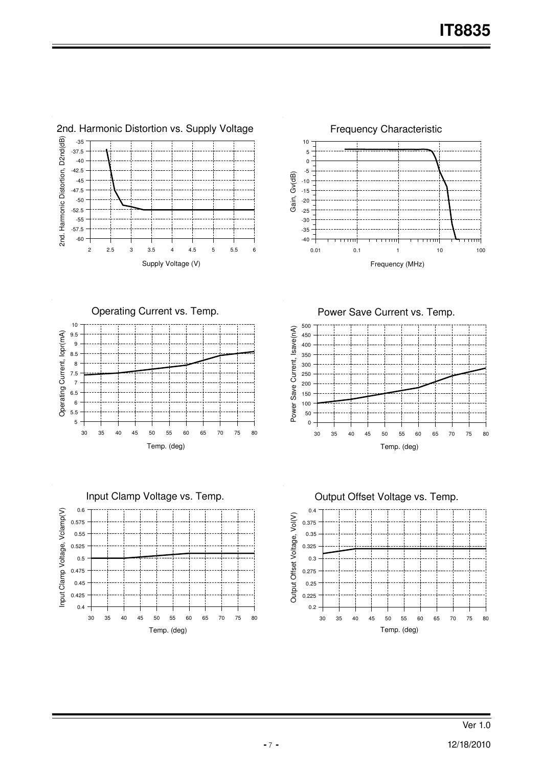